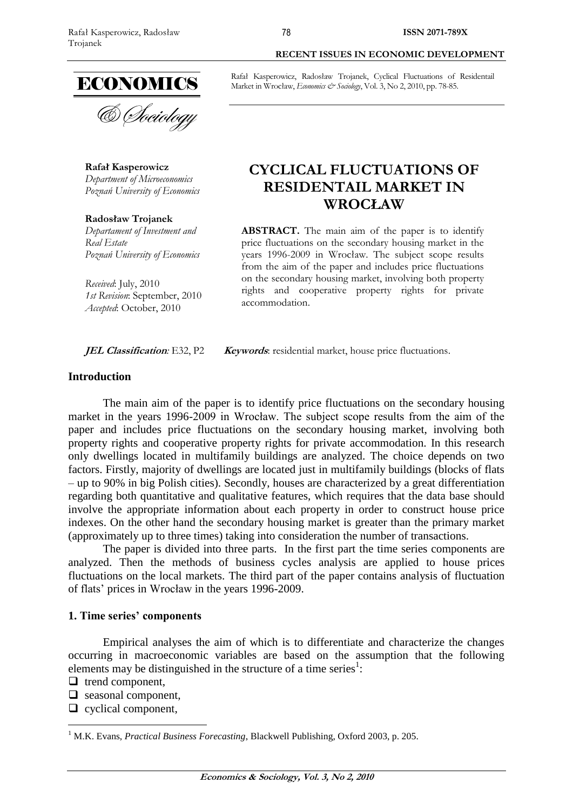

**Rafał Kasperowicz** *Department of Microeconomics Poznań University of Economics*

**Radosław Trojanek** *Departament of Investment and Real Estate Poznań University of Economics*

*Received*: July, 2010 *1st Revision*: September, 2010 *Accepted*: October, 2010

**JEL Classification**: E32, P2 **Keywords**: residential market, house price fluctuations.

## **Introduction**

The main aim of the paper is to identify price fluctuations on the secondary housing market in the years 1996-2009 in Wrocław. The subject scope results from the aim of the paper and includes price fluctuations on the secondary housing market, involving both property rights and cooperative property rights for private accommodation. In this research only dwellings located in multifamily buildings are analyzed. The choice depends on two factors. Firstly, majority of dwellings are located just in multifamily buildings (blocks of flats – up to 90% in big Polish cities). Secondly, houses are characterized by a great differentiation regarding both quantitative and qualitative features, which requires that the data base should involve the appropriate information about each property in order to construct house price indexes. On the other hand the secondary housing market is greater than the primary market (approximately up to three times) taking into consideration the number of transactions.

The paper is divided into three parts. In the first part the time series components are analyzed. Then the methods of business cycles analysis are applied to house prices fluctuations on the local markets. The third part of the paper contains analysis of fluctuation of flats' prices in Wrocław in the years 1996-2009.

## **1. Time series' components**

Empirical analyses the aim of which is to differentiate and characterize the changes occurring in macroeconomic variables are based on the assumption that the following elements may be distinguished in the structure of a time series<sup>1</sup>:

 $\Box$  trend component,

 $\overline{a}$ 

- $\Box$  seasonal component,
- $\Box$  cyclical component,

#### **RECENT ISSUES IN ECONOMIC DEVELOPMENT**

Rafał Kasperowicz, Radosław Trojanek, Cyclical Fluctuations of Residentail Market in Wrocław, *Economics & Sociology*, Vol. 3, No 2, 2010, pp. 78-85.

# **CYCLICAL FLUCTUATIONS OF RESIDENTAIL MARKET IN WROCŁAW**

**ABSTRACT.** The main aim of the paper is to identify price fluctuations on the secondary housing market in the years 1996-2009 in Wrocław. The subject scope results from the aim of the paper and includes price fluctuations on the secondary housing market, involving both property rights and cooperative property rights for private accommodation.

<sup>&</sup>lt;sup>1</sup> M.K. Evans, *Practical Business Forecasting*, Blackwell Publishing, Oxford 2003, p. 205.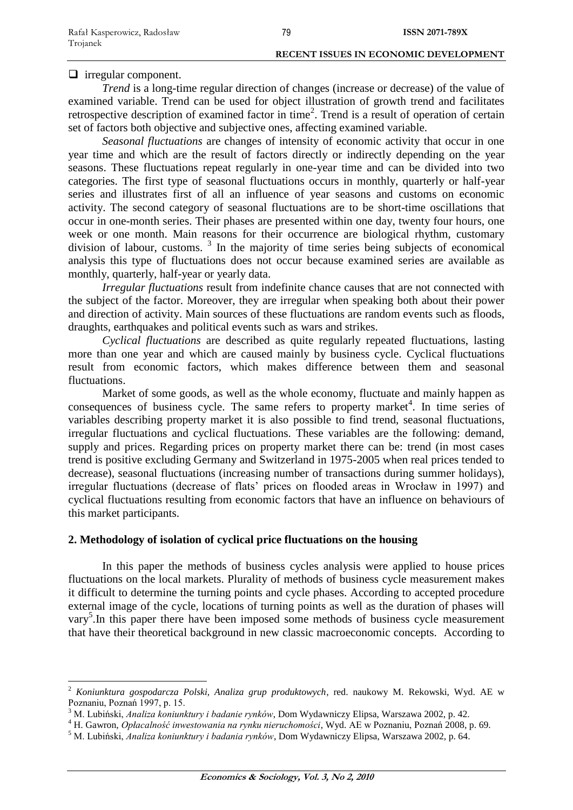$\Box$  irregular component.

*Trend* is a long-time regular direction of changes (increase or decrease) of the value of examined variable. Trend can be used for object illustration of growth trend and facilitates retrospective description of examined factor in time<sup>2</sup>. Trend is a result of operation of certain set of factors both objective and subjective ones, affecting examined variable.

*Seasonal fluctuations* are changes of intensity of economic activity that occur in one year time and which are the result of factors directly or indirectly depending on the year seasons. These fluctuations repeat regularly in one-year time and can be divided into two categories. The first type of seasonal fluctuations occurs in monthly, quarterly or half-year series and illustrates first of all an influence of year seasons and customs on economic activity. The second category of seasonal fluctuations are to be short-time oscillations that occur in one-month series. Their phases are presented within one day, twenty four hours, one week or one month. Main reasons for their occurrence are biological rhythm, customary division of labour, customs.<sup>3</sup> In the majority of time series being subjects of economical analysis this type of fluctuations does not occur because examined series are available as monthly, quarterly, half-year or yearly data.

*Irregular fluctuations* result from indefinite chance causes that are not connected with the subject of the factor. Moreover, they are irregular when speaking both about their power and direction of activity. Main sources of these fluctuations are random events such as floods, draughts, earthquakes and political events such as wars and strikes.

*Cyclical fluctuations* are described as quite regularly repeated fluctuations, lasting more than one year and which are caused mainly by business cycle. Cyclical fluctuations result from economic factors, which makes difference between them and seasonal fluctuations.

Market of some goods, as well as the whole economy, fluctuate and mainly happen as consequences of business cycle. The same refers to property market<sup>4</sup>. In time series of variables describing property market it is also possible to find trend, seasonal fluctuations, irregular fluctuations and cyclical fluctuations. These variables are the following: demand, supply and prices. Regarding prices on property market there can be: trend (in most cases trend is positive excluding Germany and Switzerland in 1975-2005 when real prices tended to decrease), seasonal fluctuations (increasing number of transactions during summer holidays), irregular fluctuations (decrease of flats' prices on flooded areas in Wrocław in 1997) and cyclical fluctuations resulting from economic factors that have an influence on behaviours of this market participants.

## **2. Methodology of isolation of cyclical price fluctuations on the housing**

In this paper the methods of business cycles analysis were applied to house prices fluctuations on the local markets. Plurality of methods of business cycle measurement makes it difficult to determine the turning points and cycle phases. According to accepted procedure external image of the cycle, locations of turning points as well as the duration of phases will vary<sup>5</sup>. In this paper there have been imposed some methods of business cycle measurement that have their theoretical background in new classic macroeconomic concepts. According to

<sup>2</sup> *Koniunktura gospodarcza Polski, Analiza grup produktowych*, red. naukowy M. Rekowski, Wyd. AE w Poznaniu, Poznań 1997, p. 15.

<sup>3</sup> M. Lubiński, *Analiza koniunktury i badanie rynków*, Dom Wydawniczy Elipsa, Warszawa 2002, p. 42.

<sup>4</sup> H. Gawron, *Opłacalność inwestowania na rynku nieruchomości*, Wyd. AE w Poznaniu, Poznań 2008, p. 69.

<sup>5</sup> M. Lubiński, *Analiza koniunktury i badania rynków*, Dom Wydawniczy Elipsa, Warszawa 2002, p. 64.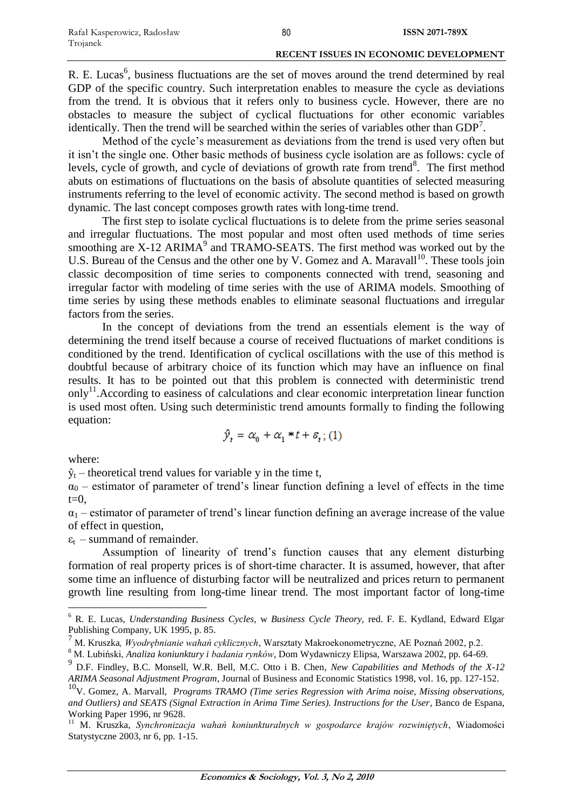R. E. Lucas<sup>6</sup>, business fluctuations are the set of moves around the trend determined by real GDP of the specific country. Such interpretation enables to measure the cycle as deviations from the trend. It is obvious that it refers only to business cycle. However, there are no obstacles to measure the subject of cyclical fluctuations for other economic variables identically. Then the trend will be searched within the series of variables other than  $GDP<sup>7</sup>$ .

Method of the cycle's measurement as deviations from the trend is used very often but it isn't the single one. Other basic methods of business cycle isolation are as follows: cycle of levels, cycle of growth, and cycle of deviations of growth rate from trend<sup>8</sup>. The first method abuts on estimations of fluctuations on the basis of absolute quantities of selected measuring instruments referring to the level of economic activity. The second method is based on growth dynamic. The last concept composes growth rates with long-time trend.

The first step to isolate cyclical fluctuations is to delete from the prime series seasonal and irregular fluctuations. The most popular and most often used methods of time series smoothing are  $X$ -12 ARIMA<sup>9</sup> and TRAMO-SEATS. The first method was worked out by the U.S. Bureau of the Census and the other one by V. Gomez and A. Maravall<sup>10</sup>. These tools join classic decomposition of time series to components connected with trend, seasoning and irregular factor with modeling of time series with the use of ARIMA models. Smoothing of time series by using these methods enables to eliminate seasonal fluctuations and irregular factors from the series.

In the concept of deviations from the trend an essentials element is the way of determining the trend itself because a course of received fluctuations of market conditions is conditioned by the trend. Identification of cyclical oscillations with the use of this method is doubtful because of arbitrary choice of its function which may have an influence on final results. It has to be pointed out that this problem is connected with deterministic trend only<sup>11</sup>. According to easiness of calculations and clear economic interpretation linear function is used most often. Using such deterministic trend amounts formally to finding the following equation:

$$
\hat{y}_t = \alpha_0 + \alpha_1 * t + \varepsilon_t ; (1)
$$

where:

 $\overline{a}$ 

 $\hat{y}_t$  – theoretical trend values for variable y in the time t,

 $\alpha_0$  – estimator of parameter of trend's linear function defining a level of effects in the time  $t=0$ .

 $\alpha_1$  – estimator of parameter of trend's linear function defining an average increase of the value of effect in question,

 $\varepsilon_t$  – summand of remainder.

Assumption of linearity of trend's function causes that any element disturbing formation of real property prices is of short-time character. It is assumed, however, that after some time an influence of disturbing factor will be neutralized and prices return to permanent growth line resulting from long-time linear trend. The most important factor of long-time

<sup>6</sup> R. E. Lucas, *Understanding Business Cycles*, w *Business Cycle Theory,* red. F. E. Kydland, Edward Elgar Publishing Company, UK 1995, p. 85.

<sup>7</sup> M. Kruszka*, Wyodrębnianie wahań cyklicznych*, Warsztaty Makroekonometryczne, AE Poznań 2002, p.2.

<sup>8</sup> M. Lubiński, *Analiza koniunktury i badania rynków*, Dom Wydawniczy Elipsa, Warszawa 2002, pp. 64-69.

<sup>9</sup> D.F. Findley, B.C. Monsell, W.R. Bell, M.C. Otto i B. Chen*, New Capabilities and Methods of the X-12 ARIMA Seasonal Adjustment Program*, Journal of Business and Economic Statistics 1998, vol. 16, pp. 127-152.

<sup>10</sup>V. Gomez, A. Marvall, *Programs TRAMO (Time series Regression with Arima noise, Missing observations, and Outliers) and SEATS (Signal Extraction in Arima Time Series). Instructions for the User*, Banco de Espana, Working Paper 1996, nr 9628.

<sup>11</sup> M. Kruszka, *Synchronizacja wahań koniunkturalnych w gospodarce krajów rozwiniętych*, Wiadomości Statystyczne 2003, nr 6, pp. 1-15.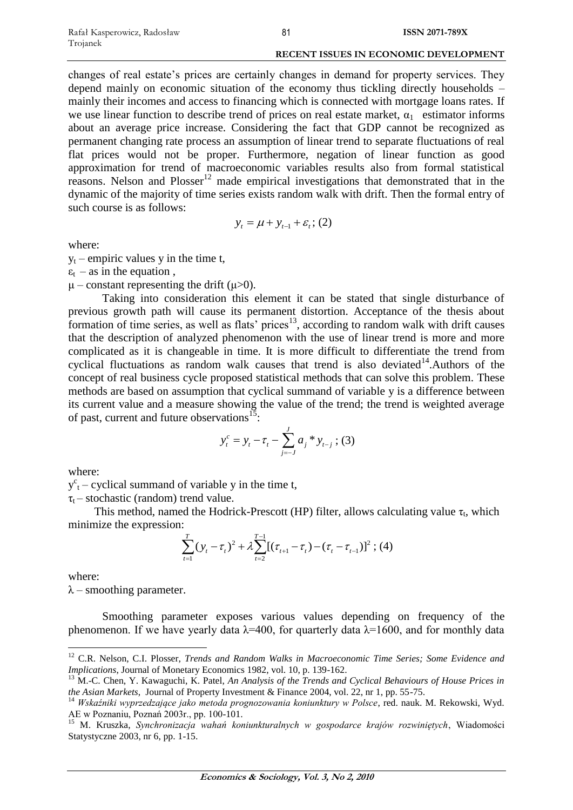changes of real estate's prices are certainly changes in demand for property services. They depend mainly on economic situation of the economy thus tickling directly households – mainly their incomes and access to financing which is connected with mortgage loans rates. If we use linear function to describe trend of prices on real estate market,  $\alpha_1$  estimator informs about an average price increase. Considering the fact that GDP cannot be recognized as permanent changing rate process an assumption of linear trend to separate fluctuations of real flat prices would not be proper. Furthermore, negation of linear function as good approximation for trend of macroeconomic variables results also from formal statistical reasons. Nelson and  $Plosser<sup>12</sup>$  made empirical investigations that demonstrated that in the dynamic of the majority of time series exists random walk with drift. Then the formal entry of such course is as follows:

$$
y_t = \mu + y_{t-1} + \varepsilon_t
$$
; (2)

where:

 $y_t$  – empiric values y in the time t,

 $\varepsilon_t$  – as in the equation,

 $\mu$  – constant representing the drift ( $\mu$ >0).

Taking into consideration this element it can be stated that single disturbance of previous growth path will cause its permanent distortion. Acceptance of the thesis about formation of time series, as well as flats' prices<sup>13</sup>, according to random walk with drift causes that the description of analyzed phenomenon with the use of linear trend is more and more complicated as it is changeable in time. It is more difficult to differentiate the trend from cyclical fluctuations as random walk causes that trend is also deviated<sup>14</sup>.Authors of the concept of real business cycle proposed statistical methods that can solve this problem. These methods are based on assumption that cyclical summand of variable y is a difference between its current value and a measure showing the value of the trend; the trend is weighted average of past, current and future observations<sup>15</sup>:

$$
y_t^c = y_t - \tau_t - \sum_{j=-J}^{J} a_j * y_{t-j} ; (3)
$$

where:

 $y^c$ <sub>t</sub> – cyclical summand of variable y in the time t,

 $\tau_t$  – stochastic (random) trend value.

This method, named the Hodrick-Prescott (HP) filter, allows calculating value  $\tau_t$ , which minimize the expression:

Let the HOLICA-Ffescott (IIF) filter, allows Cacl  
\n
$$
\sum_{t=1}^{T} (y_t - \tau_t)^2 + \lambda \sum_{t=2}^{T-1} [(\tau_{t+1} - \tau_t) - (\tau_t - \tau_{t-1})]^2 ; (4)
$$

where:

 $\overline{a}$ 

 $\lambda$  – smoothing parameter.

Smoothing parameter exposes various values depending on frequency of the phenomenon. If we have yearly data  $\lambda$ =400, for quarterly data  $\lambda$ =1600, and for monthly data

<sup>12</sup> C.R. Nelson, C.I. Plosser, *Trends and Random Walks in Macroeconomic Time Series; Some Evidence and Implications*, Journal of Monetary Economics 1982, vol. 10, p. 139-162.

<sup>&</sup>lt;sup>13</sup> M.-C. Chen, Y. Kawaguchi, K. Patel, *An Analysis of the Trends and Cyclical Behaviours of House Prices in the Asian Markets*, Journal of Property Investment & Finance 2004, vol. 22, nr 1, pp. 55-75.

<sup>14</sup> *Wskaźniki wyprzedzające jako metoda prognozowania koniunktury w Polsce*, red. nauk. M. Rekowski, Wyd. AE w Poznaniu, Poznań 2003r., pp. 100-101.

<sup>15</sup> M. Kruszka, *Synchronizacja wahań koniunkturalnych w gospodarce krajów rozwiniętych*, Wiadomości Statystyczne 2003, nr 6, pp. 1-15.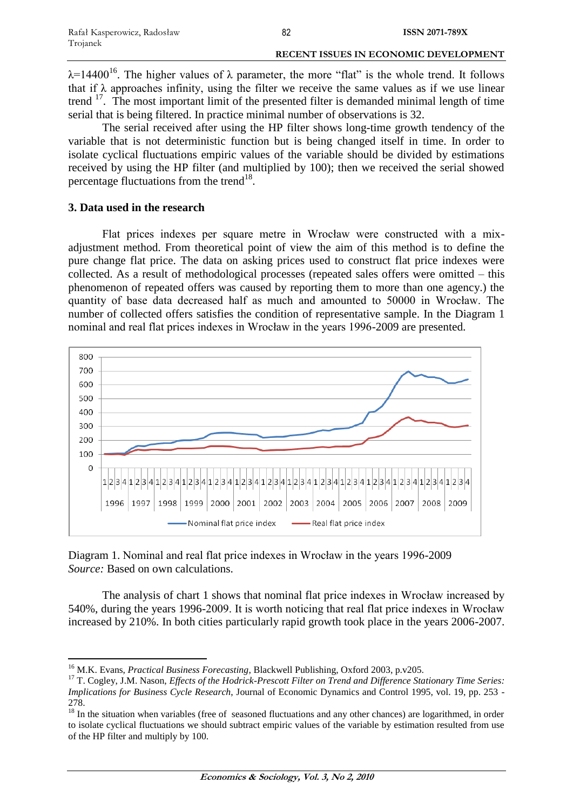$\lambda$ =14400<sup>16</sup>. The higher values of  $\lambda$  parameter, the more "flat" is the whole trend. It follows that if  $\lambda$  approaches infinity, using the filter we receive the same values as if we use linear trend <sup>17</sup>. The most important limit of the presented filter is demanded minimal length of time serial that is being filtered. In practice minimal number of observations is 32.

The serial received after using the HP filter shows long-time growth tendency of the variable that is not deterministic function but is being changed itself in time. In order to isolate cyclical fluctuations empiric values of the variable should be divided by estimations received by using the HP filter (and multiplied by 100); then we received the serial showed percentage fluctuations from the trend<sup>18</sup>.

# **3. Data used in the research**

Flat prices indexes per square metre in Wrocław were constructed with a mixadjustment method. From theoretical point of view the aim of this method is to define the pure change flat price. The data on asking prices used to construct flat price indexes were collected. As a result of methodological processes (repeated sales offers were omitted – this phenomenon of repeated offers was caused by reporting them to more than one agency.) the quantity of base data decreased half as much and amounted to 50000 in Wrocław. The number of collected offers satisfies the condition of representative sample. In the Diagram 1 nominal and real flat prices indexes in Wrocław in the years 1996-2009 are presented.



Diagram 1. Nominal and real flat price indexes in Wrocław in the years 1996-2009 *Source:* Based on own calculations.

The analysis of chart 1 shows that nominal flat price indexes in Wrocław increased by 540%, during the years 1996-2009. It is worth noticing that real flat price indexes in Wrocław increased by 210%. In both cities particularly rapid growth took place in the years 2006-2007.

 $\overline{a}$ <sup>16</sup> M.K. Evans, *Practical Business Forecasting*, Blackwell Publishing, Oxford 2003, p.v205.

<sup>17</sup> T. Cogley, J.M. Nason, *Effects of the Hodrick-Prescott Filter on Trend and Difference Stationary Time Series: Implications for Business Cycle Research*, Journal of Economic Dynamics and Control 1995, vol. 19, pp. 253 - 278

 $18$  In the situation when variables (free of seasoned fluctuations and any other chances) are logarithmed, in order to isolate cyclical fluctuations we should subtract empiric values of the variable by estimation resulted from use of the HP filter and multiply by 100.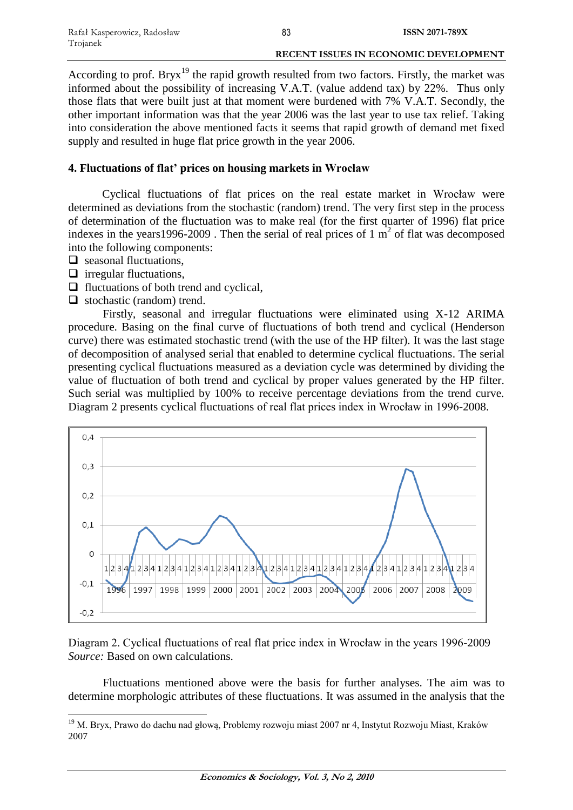#### **RECENT ISSUES IN ECONOMIC DEVELOPMENT**

According to prof. Bryx<sup>19</sup> the rapid growth resulted from two factors. Firstly, the market was informed about the possibility of increasing V.A.T. (value addend tax) by 22%. Thus only those flats that were built just at that moment were burdened with 7% V.A.T. Secondly, the other important information was that the year 2006 was the last year to use tax relief. Taking into consideration the above mentioned facts it seems that rapid growth of demand met fixed supply and resulted in huge flat price growth in the year 2006.

# **4. Fluctuations of flat' prices on housing markets in Wrocław**

Cyclical fluctuations of flat prices on the real estate market in Wrocław were determined as deviations from the stochastic (random) trend. The very first step in the process of determination of the fluctuation was to make real (for the first quarter of 1996) flat price indexes in the years 1996-2009. Then the serial of real prices of 1  $\overline{m}^2$  of flat was decomposed into the following components:

- $\Box$  seasonal fluctuations.
- $\Box$  irregular fluctuations,

 $\overline{a}$ 

- $\Box$  fluctuations of both trend and cyclical,
- $\Box$  stochastic (random) trend.

Firstly, seasonal and irregular fluctuations were eliminated using X-12 ARIMA procedure. Basing on the final curve of fluctuations of both trend and cyclical (Henderson curve) there was estimated stochastic trend (with the use of the HP filter). It was the last stage of decomposition of analysed serial that enabled to determine cyclical fluctuations. The serial presenting cyclical fluctuations measured as a deviation cycle was determined by dividing the value of fluctuation of both trend and cyclical by proper values generated by the HP filter. Such serial was multiplied by 100% to receive percentage deviations from the trend curve. Diagram 2 presents cyclical fluctuations of real flat prices index in Wrocław in 1996-2008.



Diagram 2. Cyclical fluctuations of real flat price index in Wrocław in the years 1996-2009 *Source:* Based on own calculations.

Fluctuations mentioned above were the basis for further analyses. The aim was to determine morphologic attributes of these fluctuations. It was assumed in the analysis that the

<sup>&</sup>lt;sup>19</sup> M. Bryx, Prawo do dachu nad głową, Problemy rozwoju miast 2007 nr 4, Instytut Rozwoju Miast, Kraków 2007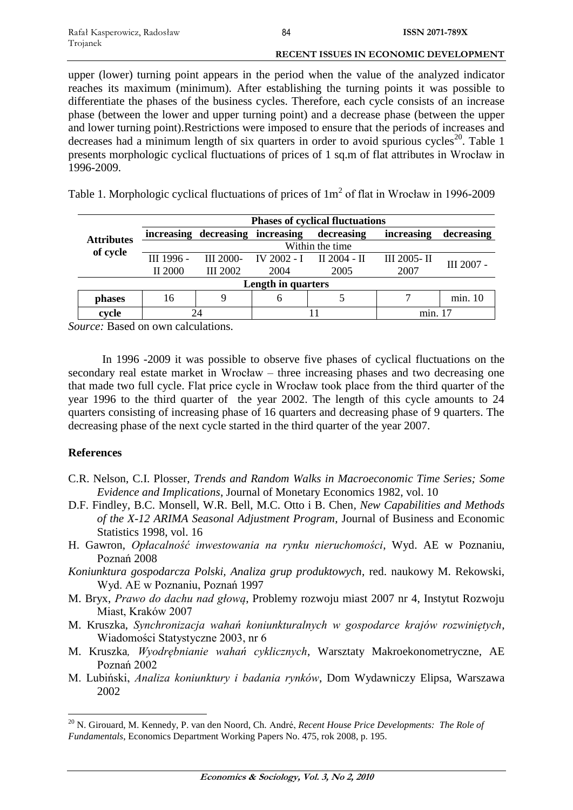#### **RECENT ISSUES IN ECONOMIC DEVELOPMENT**

upper (lower) turning point appears in the period when the value of the analyzed indicator reaches its maximum (minimum). After establishing the turning points it was possible to differentiate the phases of the business cycles. Therefore, each cycle consists of an increase phase (between the lower and upper turning point) and a decrease phase (between the upper and lower turning point).Restrictions were imposed to ensure that the periods of increases and decreases had a minimum length of six quarters in order to avoid spurious cycles<sup>20</sup>. Table 1 presents morphologic cyclical fluctuations of prices of 1 sq.m of flat attributes in Wrocław in 1996-2009.

Table 1. Morphologic cyclical fluctuations of prices of  $1m<sup>2</sup>$  of flat in Wrocław in 1996-2009

| <b>Attributes</b><br>of cycle | <b>Phases of cyclical fluctuations</b> |                                  |      |                          |             |            |
|-------------------------------|----------------------------------------|----------------------------------|------|--------------------------|-------------|------------|
|                               |                                        | increasing decreasing increasing |      | decreasing               | increasing  | decreasing |
|                               | Within the time                        |                                  |      |                          |             |            |
|                               | III 1996 -                             | III 2000-                        |      | IV 2002 - I II 2004 - II | III 2005-II | III 2007 - |
|                               | II 2000                                | <b>III</b> 2002                  | 2004 | 2005                     | 2007        |            |
| Length in quarters            |                                        |                                  |      |                          |             |            |
| phases                        | 16                                     | 9                                | O    |                          |             | min. 10    |
| cycle                         |                                        |                                  |      |                          | min. 17     |            |

*Source:* Based on own calculations.

In 1996 -2009 it was possible to observe five phases of cyclical fluctuations on the secondary real estate market in Wrocław – three increasing phases and two decreasing one that made two full cycle. Flat price cycle in Wrocław took place from the third quarter of the year 1996 to the third quarter of the year 2002. The length of this cycle amounts to 24 quarters consisting of increasing phase of 16 quarters and decreasing phase of 9 quarters. The decreasing phase of the next cycle started in the third quarter of the year 2007.

# **References**

 $\overline{a}$ 

- C.R. Nelson, C.I. Plosser, *Trends and Random Walks in Macroeconomic Time Series; Some Evidence and Implications*, Journal of Monetary Economics 1982, vol. 10
- D.F. Findley, B.C. Monsell, W.R. Bell, M.C. Otto i B. Chen*, New Capabilities and Methods of the X-12 ARIMA Seasonal Adjustment Program*, Journal of Business and Economic Statistics 1998, vol. 16
- H. Gawron, *Opłacalność inwestowania na rynku nieruchomości*, Wyd. AE w Poznaniu, Poznań 2008
- *Koniunktura gospodarcza Polski, Analiza grup produktowych*, red. naukowy M. Rekowski, Wyd. AE w Poznaniu, Poznań 1997
- M. Bryx, *Prawo do dachu nad głową*, Problemy rozwoju miast 2007 nr 4, Instytut Rozwoju Miast, Kraków 2007
- M. Kruszka, *Synchronizacja wahań koniunkturalnych w gospodarce krajów rozwiniętych*, Wiadomości Statystyczne 2003, nr 6
- M. Kruszka*, Wyodrębnianie wahań cyklicznych*, Warsztaty Makroekonometryczne, AE Poznań 2002
- M. Lubiński, *Analiza koniunktury i badania rynków*, Dom Wydawniczy Elipsa, Warszawa 2002

<sup>20</sup> N. Girouard, M. Kennedy, P. van den Noord, Ch. André, *Recent House Price Developments: The Role of Fundamentals*, Economics Department Working Papers No. 475, rok 2008, p. 195.